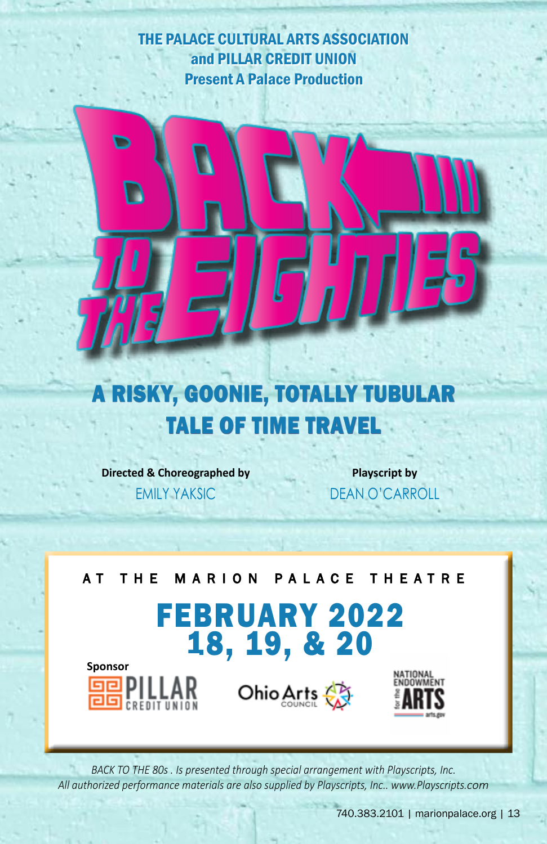THE PALACE CULTURAL ARTS ASSOCIATION and PILLAR CREDIT UNION Present A Palace Production



# A RISKY, GOONIE, TOTALLY TUBULAR TALE OF TIME TRAVEL

**Directed & Choreographed by**

EMILY YAKSIC

**Playscript by** DEAN O'CARROLL

AT THE MARION PALACE THEATRE FEBRUARY 2022 18, 19, & 20 **Sponsor** NATIONAL<br>ENDOWMENT Ohio Arts

BACK TO THE 80s . Is presented through special arrangement with Playscripts, Inc. *All authorized performance materials are also supplied by Playscripts, Inc.. www.Playscripts.com*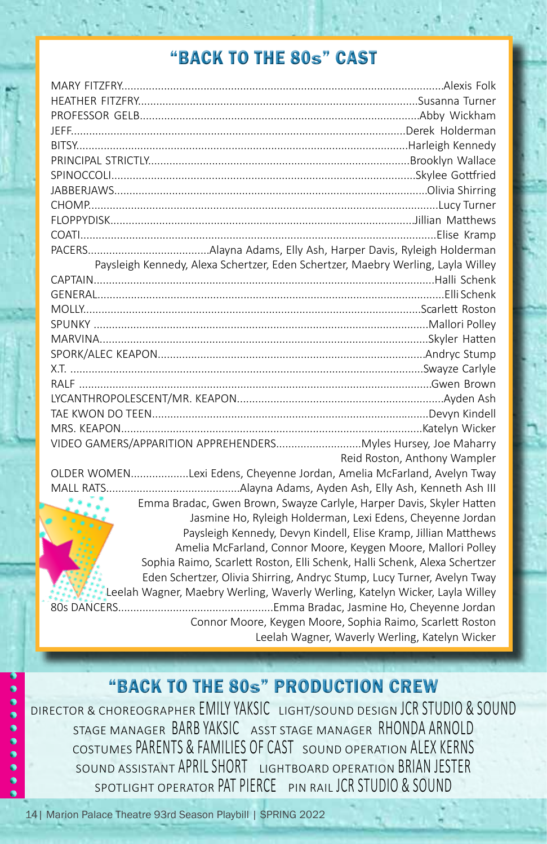### "BACK TO THE 80S" CAST

|                                                                       | Paysleigh Kennedy, Alexa Schertzer, Eden Schertzer, Maebry Werling, Layla Willey |
|-----------------------------------------------------------------------|----------------------------------------------------------------------------------|
|                                                                       |                                                                                  |
|                                                                       |                                                                                  |
|                                                                       |                                                                                  |
|                                                                       |                                                                                  |
|                                                                       |                                                                                  |
|                                                                       |                                                                                  |
|                                                                       |                                                                                  |
|                                                                       |                                                                                  |
|                                                                       |                                                                                  |
|                                                                       |                                                                                  |
|                                                                       |                                                                                  |
|                                                                       |                                                                                  |
|                                                                       | Reid Roston, Anthony Wampler                                                     |
| OLDER WOMENLexi Edens, Cheyenne Jordan, Amelia McFarland, Avelyn Tway |                                                                                  |
|                                                                       |                                                                                  |
|                                                                       | Emma Bradac, Gwen Brown, Swayze Carlyle, Harper Davis, Skyler Hatten             |
|                                                                       | Jasmine Ho, Ryleigh Holderman, Lexi Edens, Cheyenne Jordan                       |
|                                                                       | Paysleigh Kennedy, Devyn Kindell, Elise Kramp, Jillian Matthews                  |
|                                                                       | Amelia McFarland, Connor Moore, Keygen Moore, Mallori Polley                     |
|                                                                       | Sophia Raimo, Scarlett Roston, Elli Schenk, Halli Schenk, Alexa Schertzer        |
|                                                                       | Eden Schertzer, Olivia Shirring, Andryc Stump, Lucy Turner, Avelyn Tway          |
|                                                                       | Leelah Wagner, Maebry Werling, Waverly Werling, Katelyn Wicker, Layla Willey     |
|                                                                       |                                                                                  |
| Connor Moore, Keygen Moore, Sophia Raimo, Scarlett Roston             |                                                                                  |
|                                                                       | Leelah Wagner, Waverly Werling, Katelyn Wicker                                   |

#### "BACK TO THE 80S" PRODUCTION CREW

DIRECTOR & CHOREOGRAPHER EMILY YAKSIC LIGHT/SOUND DESIGN JCR STUDIO & SOUND STAGE MANAGER BARB YAKSIC ASST STAGE MANAGER RHONDA ARNOLD COSTUMES PARENTS & FAMILIES OF CAST SOUND OPERATION ALEX KERNS SOUND ASSISTANT APRIL SHORT LIGHTBOARD OPERATION BRIAN JESTER SPOTLIGHT OPERATOR PAT PIFRCE PIN RAIL JCR STUDIO & SOUND

14| Marion Palace Theatre 93rd Season Playbill | SPRING 2022

۰  $\bullet$  $\bullet$ Ò  $\bullet$ ٥  $\bullet$  $\bullet$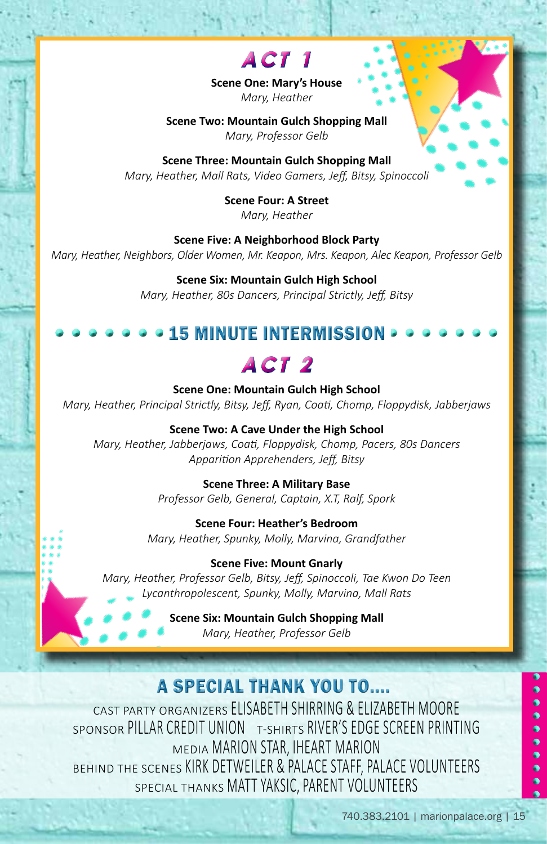

**Scene One: Mary's House** *Mary, Heather*

**Scene Two: Mountain Gulch Shopping Mall** *Mary, Professor Gelb*

**Scene Three: Mountain Gulch Shopping Mall** *Mary, Heather, Mall Rats, Video Gamers, Jeff, Bitsy, Spinoccoli*

> **Scene Four: A Street** *Mary, Heather*

**Scene Five: A Neighborhood Block Party** *Mary, Heather, Neighbors, Older Women, Mr. Keapon, Mrs. Keapon, Alec Keapon, Professor Gelb*

> **Scene Six: Mountain Gulch High School** *Mary, Heather, 80s Dancers, Principal Strictly, Jeff, Bitsy*

#### 15 MINUTE INTERMISSION



**Scene One: Mountain Gulch High School** *Mary, Heather, Principal Strictly, Bitsy, Jeff, Ryan, Coati, Chomp, Floppydisk, Jabberjaws*

**Scene Two: A Cave Under the High School** *Mary, Heather, Jabberjaws, Coati, Floppydisk, Chomp, Pacers, 80s Dancers Apparition Apprehenders, Jeff, Bitsy*

> **Scene Three: A Military Base** *Professor Gelb, General, Captain, X.T, Ralf, Spork*

**Scene Four: Heather's Bedroom** *Mary, Heather, Spunky, Molly, Marvina, Grandfather*

**Scene Five: Mount Gnarly**

*Mary, Heather, Professor Gelb, Bitsy, Jeff, Spinoccoli, Tae Kwon Do Teen Lycanthropolescent, Spunky, Molly, Marvina, Mall Rats*

> **Scene Six: Mountain Gulch Shopping Mall** *Mary, Heather, Professor Gelb*

#### A SPECIAL THANK YOU TO....

CAST PARTY ORGANIZERS ELISABETH SHIRRING & ELIZABETH MOORE SPONSOR PILLAR CREDIT UNION T-SHIRTS RIVER'S EDGE SCREEN PRINTING MEDIA MARION STAR, IHEART MARION BEHIND THE SCENES KIRK DETWEILER & PALACE STAFF, PALACE VOLUNTEERS SPECIAL THANKS MATT YAKSIC, PARENT VOLUNTEERS

 $\bullet$ 

 $\bullet$